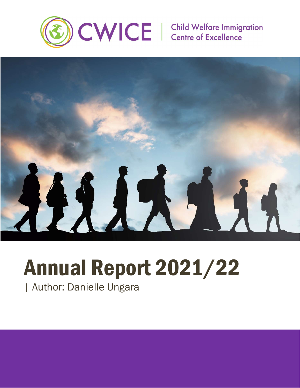



# Annual Report 2021/22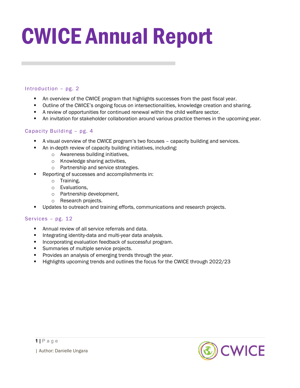# CWICE Annual Report

# Introduction – pg. 2

- An overview of the CWICE program that highlights successes from the past fiscal year.
- Outline of the CWICE's ongoing focus on intersectionalities, knowledge creation and sharing.
- A review of opportunities for continued renewal within the child welfare sector.
- An invitation for stakeholder collaboration around various practice themes in the upcoming year.

# Capacity Building – pg. 4

- A visual overview of the CWICE program's two focuses capacity building and services.
- An in-depth review of capacity building initiatives, including:
	- o Awareness building initiatives,
	- o Knowledge sharing activities,
	- o Partnership and service strategies.
- Reporting of successes and accomplishments in:
	- o Training,
	- o Evaluations,
	- o Partnership development,
	- o Research projects.
- **Updates to outreach and training efforts, communications and research projects.**

# Services – pg. 12

- **Annual review of all service referrals and data.**
- **Integrating identity-data and multi-year data analysis.**
- **Incorporating evaluation feedback of successful program.**
- Summaries of multiple service projects.
- **Provides an analysis of emerging trends through the year.**
- Highlights upcoming trends and outlines the focus for the CWICE through 2022/23

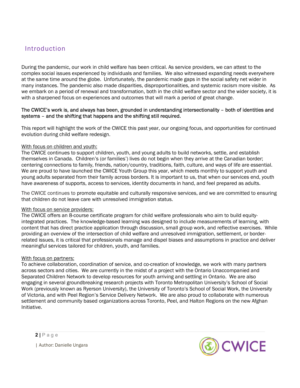# Introduction

During the pandemic, our work in child welfare has been critical. As service providers, we can attest to the complex social issues experienced by individuals and families. We also witnessed expanding needs everywhere at the same time around the globe. Unfortunately, the pandemic made gaps in the social safety net wider in many instances. The pandemic also made disparities, disproportionalities, and systemic racism more visible. As we embark on a period of renewal and transformation, both in the child welfare sector and the wider society, it is with a sharpened focus on experiences and outcomes that will mark a period of great change.

# The CWICE's work is, and always has been, grounded in understanding intersectionality – both of identities and systems – and the shifting that happens and the shifting still required.

This report will highlight the work of the CWICE this past year, our ongoing focus, and opportunities for continued evolution during child welfare redesign.

# With focus on children and youth:

The CWICE continues to support children, youth, and young adults to build networks, settle, and establish themselves in Canada. Children's (or families') lives do not begin when they arrive at the Canadian border; centering connections to family, friends, nation/country, traditions, faith, culture, and ways of life are essential. We are proud to have launched the CWICE Youth Group this year, which meets monthly to support youth and young adults separated from their family across borders. It is important to us, that when our services end, youth have awareness of supports, access to services, identity documents in hand, and feel prepared as adults.

The CWICE continues to promote equitable and culturally responsive services, and we are committed to ensuring that children do not leave care with unresolved immigration status.

# With focus on service providers:

The CWICE offers an 8-course certificate program for child welfare professionals who aim to build equityintegrated practices. The knowledge-based learning was designed to include measurements of learning, with content that has direct practice application through discussion, small group work, and reflective exercises. While providing an overview of the intersection of child welfare and unresolved immigration, settlement, or borderrelated issues, it is critical that professionals manage and dispel biases and assumptions in practice and deliver meaningful services tailored for children, youth, and families.

# With focus on partners:

To achieve collaboration, coordination of service, and co-creation of knowledge, we work with many partners across sectors and cities. We are currently in the midst of a project with the Ontario Unaccompanied and Separated Children Network to develop resources for youth arriving and settling in Ontario. We are also engaging in several groundbreaking research projects with Toronto Metropolitan University's School of Social Work (previously known as Ryerson University), the University of Toronto's School of Social Work, the University of Victoria, and with Peel Region's Service Delivery Network. We are also proud to collaborate with numerous settlement and community based organizations across Toronto, Peel, and Halton Regions on the new Afghan Initiative.

**③ CWICE**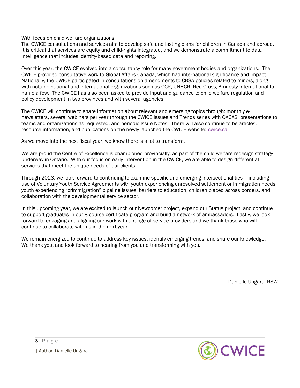With focus on child welfare organizations:

The CWICE consultations and services aim to develop safe and lasting plans for children in Canada and abroad. It is critical that services are equity and child-rights integrated, and we demonstrate a commitment to data intelligence that includes identity-based data and reporting.

Over this year, the CWICE evolved into a consultancy role for many government bodies and organizations. The CWICE provided consultative work to Global Affairs Canada, which had international significance and impact. Nationally, the CWICE participated in consultations on amendments to CBSA policies related to minors, along with notable national and international organizations such as CCR, UNHCR, Red Cross, Amnesty International to name a few. The CWICE has also been asked to provide input and guidance to child welfare regulation and policy development in two provinces and with several agencies.

The CWICE will continue to share information about relevant and emerging topics through: monthly enewsletters, several webinars per year through the CWICE Issues and Trends series with OACAS, presentations to teams and organizations as requested, and periodic Issue Notes. There will also continue to be articles, resource information, and publications on the newly launched the CWICE website: cwice.ca

As we move into the next fiscal year, we know there is a lot to transform.

We are proud the Centre of Excellence is championed provincially, as part of the child welfare redesign strategy underway in Ontario. With our focus on early intervention in the CWICE, we are able to design differential services that meet the unique needs of our clients.

Through 2023, we look forward to continuing to examine specific and emerging intersectionalities – including use of Voluntary Youth Service Agreements with youth experiencing unresolved settlement or immigration needs, youth experiencing "crimmigration" pipeline issues, barriers to education, children placed across borders, and collaboration with the developmental service sector.

In this upcoming year, we are excited to launch our Newcomer project, expand our Status project, and continue to support graduates in our 8-course certificate program and build a network of ambassadors. Lastly, we look forward to engaging and aligning our work with a range of service providers and we thank those who will continue to collaborate with us in the next year.

We remain energized to continue to address key issues, identify emerging trends, and share our knowledge. We thank you, and look forward to hearing from you and transforming with you.

Danielle Ungara, RSW

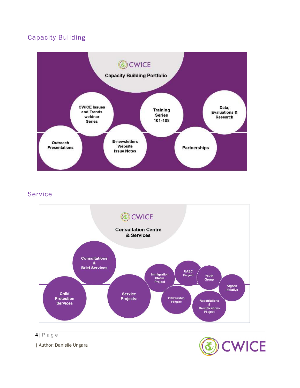# Capacity Building



# **Service**





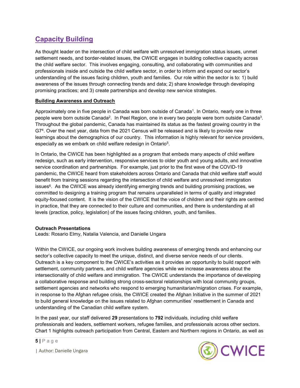# Capacity Building

As thought leader on the intersection of child welfare with unresolved immigration status issues, unmet settlement needs, and border-related issues, the CWICE engages in building collective capacity across the child welfare sector. This involves engaging, consulting, and collaborating with communities and professionals inside and outside the child welfare sector, in order to inform and expand our sector's understanding of the issues facing children, youth and families. Our role within the sector is to: 1) build awareness of the issues through connecting trends and data; 2) share knowledge through developing promising practices; and 3) create partnerships and develop new service strategies.

# Building Awareness and Outreach

Approximately one in five people in Canada was born outside of Canada<sup>1</sup> . In Ontario, nearly one in three people were born outside Canada<sup>2</sup>. In Peel Region, one in every two people were born outside Canada<sup>3</sup>. Throughout the global pandemic, Canada has maintained its status as the fastest growing country in the G7<sup>4</sup> . Over the next year, data from the 2021 Census will be released and is likely to provide new learnings about the demographics of our country. This information is highly relevant for service providers, especially as we embark on child welfare redesign in Ontario<sup>5</sup>.

In Ontario, the CWICE has been highlighted as a program that embeds many aspects of child welfare redesign, such as early intervention, responsive services to older youth and young adults, and innovative service coordination and partnerships. For example, just prior to the first wave of the COVID-19 pandemic, the CWICE heard from stakeholders across Ontario and Canada that child welfare staff would benefit from training sessions regarding the intersection of child welfare and unresolved immigration issues $6$ . As the CWICE was already identifying emerging trends and building promising practices, we committed to designing a training program that remains unparalleled in terms of quality and integrated equity-focused content. It is the vision of the CWICE that the voice of children and their rights are centred in practice, that they are connected to their culture and communities, and there is understanding at all levels (practice, policy, legislation) of the issues facing children, youth, and families.

# Outreach Presentations

Leads: Rosario Elmy, Natalia Valencia, and Danielle Ungara

Within the CWICE, our ongoing work involves building awareness of emerging trends and enhancing our sector's collective capacity to meet the unique, distinct, and diverse service needs of our clients. Outreach is a key component to the CWICE's activities as it provides an opportunity to build rapport with settlement, community partners, and child welfare agencies while we increase awareness about the intersectionality of child welfare and immigration. The CWICE understands the importance of developing a collaborative response and building strong cross-sectoral relationships with local community groups, settlement agencies and networks who respond to emerging humanitarian/migration crises. For example, in response to the Afghan refugee crisis, the CWICE created the Afghan Initiative in the summer of 2021 to build general knowledge on the issues related to Afghan communities' resettlement in Canada and understanding of the Canadian child welfare system.

In the past year, our staff delivered 29 presentations to 792 individuals, including child welfare professionals and leaders, settlement workers, refugee families, and professionals across other sectors. Chart 1 highlights outreach participation from Central, Eastern and Northern regions in Ontario, as well as



 $5$  | P a g e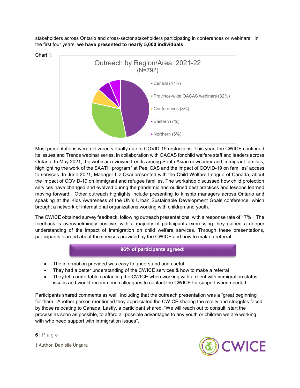stakeholders across Ontario and cross-sector stakeholders participating in conferences or webinars. In the first four years, we have presented to nearly 5,000 individuals.



Most presentations were delivered virtually due to COVID-19 restrictions. This year, the CWICE continued its Issues and Trends webinar series, in collaboration with OACAS for child welfare staff and leaders across Ontario. In May 2021, the webinar reviewed trends among South Asian newcomer and immigrant families, highlighting the work of the SAATH program<sup>7</sup> at Peel CAS and the impact of COVID-19 on families' access to services. In June 2021, Manager Liz Okai presented with the Child Welfare League of Canada, about the impact of COVID-19 on immigrant and refugee families. The workshop discussed how child protection services have changed and evolved during the pandemic and outlined best practices and lessons learned moving forward. Other outreach highlights include presenting to kinship managers across Ontario and speaking at the Kids Awareness of the UN's Urban Sustainable Development Goals conference, which brought a network of international organizations working with children and youth.

The CWICE obtained survey feedback, following outreach presentations, with a response rate of 17%. The feedback is overwhelmingly positive, with a majority of participants expressing they gained a deeper understanding of the impact of immigration on child welfare services. Through these presentations, participants learned about the services provided by the CWICE and how to make a referral.

# 96% of participants agreed:

- The information provided was easy to understand and useful
- They had a better understanding of the CWICE services & how to make a referral
- They felt comfortable contacting the CWICE when working with a client with immigration status issues and would recommend colleagues to contact the CWICE for support when needed

Participants shared comments as well, including that the outreach presentation was a "great beginning" for them. Another person mentioned they appreciated the CWICE sharing the reality and struggles faced by those relocating to Canada. Lastly, a participant shared, "We will reach out to consult, start the process as soon as possible, to afford all possible advantages to any youth or children we are working with who need support with immigration issues".

6 | P a g e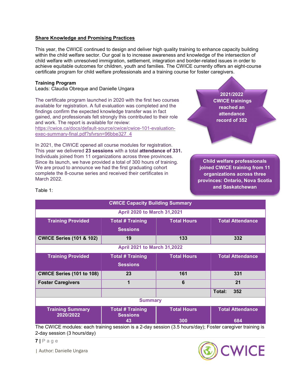# Share Knowledge and Promising Practices

This year, the CWICE continued to design and deliver high quality training to enhance capacity building within the child welfare sector. Our goal is to increase awareness and knowledge of the intersection of child welfare with unresolved immigration, settlement, integration and border-related issues in order to achieve equitable outcomes for children, youth and families. The CWICE currently offers an eight-course certificate program for child welfare professionals and a training course for foster caregivers.

#### Training Program

Leads: Claudia Obreque and Danielle Ungara

The certificate program launched in 2020 with the first two courses available for registration. A full evaluation was completed and the findings confirm the expected knowledge transfer was in fact gained, and professionals felt strongly this contributed to their role and work. The report is available for review: https://cwice.ca/docs/default-source/cwice/cwice-101-evaluationexec-summary-final.pdf?sfvrsn=96bbe327\_4

In 2021, the CWICE opened all course modules for registration. This year we delivered 23 sessions with a total attendance of 331. Individuals joined from 11 organizations across three provinces. Since its launch, we have provided a total of 300 hours of training. We are proud to announce we had the first graduating cohort complete the 8-course series and received their certificates in March 2022.

2021/2022 CWICE trainings reached an attendance record of 352 attendees

Child welfare professionals joined CWICE training from 11 organizations across three provinces: Ontario, Nova Scotia and Saskatchewan

Table 1:

| <b>CWICE Capacity Building Summary</b>                                                                    |                                            |                    |                         |  |
|-----------------------------------------------------------------------------------------------------------|--------------------------------------------|--------------------|-------------------------|--|
| <b>April 2020 to March 31,2021</b>                                                                        |                                            |                    |                         |  |
| <b>Training Provided</b>                                                                                  | <b>Total # Training</b>                    | <b>Total Hours</b> | <b>Total Attendance</b> |  |
|                                                                                                           | <b>Sessions</b>                            |                    |                         |  |
| <b>CWICE Series (101 &amp; 102)</b>                                                                       | 19                                         | 133                | 332                     |  |
| <b>April 2021 to March 31,2022</b>                                                                        |                                            |                    |                         |  |
| <b>Training Provided</b>                                                                                  | <b>Total # Training</b>                    | <b>Total Hours</b> | <b>Total Attendance</b> |  |
|                                                                                                           | <b>Sessions</b>                            |                    |                         |  |
| CWICE Series (101 to 108)                                                                                 | 23                                         | 161                | 331                     |  |
| <b>Foster Caregivers</b>                                                                                  |                                            | 6                  | 21                      |  |
|                                                                                                           |                                            |                    | Total:<br>352           |  |
| <b>Summary</b>                                                                                            |                                            |                    |                         |  |
| <b>Training Summary</b><br>2020/2022                                                                      | <b>Total # Training</b><br><b>Sessions</b> | <b>Total Hours</b> | <b>Total Attendance</b> |  |
|                                                                                                           | 43                                         | 300                | 684                     |  |
| The CWICE modules: each training session is a 2-day session (3.5 hours/day); Foster caregiver training is |                                            |                    |                         |  |

2-day session (3 hours/day)

7 | P a g e

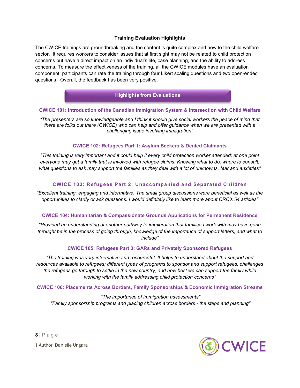# Training Evaluation Highlights

The CWICE trainings are groundbreaking and the content is quite complex and new to the child welfare sector. It requires workers to consider issues that at first sight may not be related to child protection concerns but have a direct impact on an individual's life, case planning, and the ability to address concerns. To measure the effectiveness of the training, all the CWICE modules have an evaluation component, participants can rate the training through four Likert scaling questions and two open-ended questions. Overall, the feedback has been very positive.

# Highlights from Evaluations

# CWICE 101: Introduction of the Canadian Immigration System & Intersection with Child Welfare

"The presenters are so knowledgeable and I think it should give social workers the peace of mind that there are folks out there (CWICE) who can help and offer guidance when we are presented with a challenging issue involving immigration"

#### CWICE 102: Refugees Part 1: Asylum Seekers & Denied Claimants

"This training is very important and it could help if every child protection worker attended; at one point everyone may get a family that is involved with refugee claims. Knowing what to do, where to consult, what questions to ask may support the families as they deal with a lot of unknowns, fear and anxieties"

# CWICE 103: Refugees Part 2: Unaccompanied and Separated Children

"Excellent training, engaging and informative. The small group discussions were beneficial as well as the opportunities to clarify or ask questions. I would definitely like to learn more about CRC's 54 articles"

# CWICE 104: Humanitarian & Compassionate Grounds Applications for Permanent Residence

"Provided an understanding of another pathway to immigration that families I work with may have gone through/ be in the process of going through; knowledge of the importance of support letters, and what to include"

# CWICE 105: Refugees Part 3: GARs and Privately Sponsored Refugees

"The training was very informative and resourceful. It helps to understand about the support and resources available to refugees; different types of programs to sponsor and support refugees, challenges the refugees go through to settle in the new country, and how best we can support the family while working with the family addressing child protection concerns"

#### CWICE 106: Placements Across Borders, Family Sponsorships & Economic Immigration Streams

 "The importance of immigration assessments" "Family sponsorship programs and placing children across borders - the steps and planning"



8 | P a g e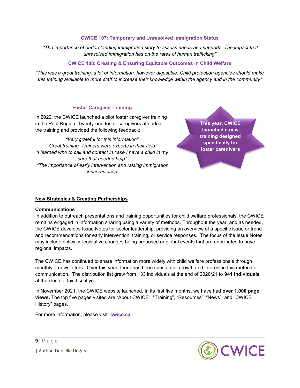# CWICE 107: Temporary and Unresolved Immigration Status

 "The importance of understanding immigration story to assess needs and supports. The impact that unresolved immigration has on the rates of human trafficking"

# CWICE 108: Creating & Ensuring Equitable Outcomes in Child Welfare

"This was a great training, a lot of information, however digestible. Child protection agencies should make this training available to more staff to increase their knowledge within the agency and in the community"

# Foster Caregiver Training

In 2022, the CWICE launched a pilot foster caregiver training in the Peel Region. Twenty-one foster caregivers attended the training and provided the following feedback:

"Very grateful for this information" "Great training. Trainers were experts in their field" "I learned who to call and contact in case I have a child in my care that needed help" "The importance of early intervention and raising immigration concerns asap"

This year, CWICE launched a new training designed specifically for foster caregivers

# New Strategies & Creating Partnerships

# Communications

In addition to outreach presentations and training opportunities for child welfare professionals, the CWICE remains engaged in information sharing using a variety of methods. Throughout the year, and as needed, the CWICE develops Issue Notes for sector leadership, providing an overview of a specific issue or trend and recommendations for early intervention, training, or service responses. The focus of the Issue Notes may include policy or legislative changes being proposed or global events that are anticipated to have regional impacts.

The CWICE has continued to share information more widely with child welfare professionals through monthly e-newsletters. Over this year, there has been substantial growth and interest in this method of communication. The distribution list grew from 133 individuals at the end of 2020/21 to 941 individuals at the close of this fiscal year.

In November 2021, the CWICE website launched. In its first five months, we have had over 1,000 page views. The top five pages visited are "About CWICE", "Training", "Resources", "News", and "CWICE History" pages.

For more information, please visit: **cwice.ca** 



 $9$  | P a q e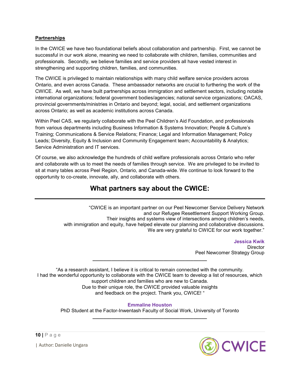# **Partnerships**

In the CWICE we have two foundational beliefs about collaboration and partnership. First, we cannot be successful in our work alone, meaning we need to collaborate with children, families, communities and professionals. Secondly, we believe families and service providers all have vested interest in strengthening and supporting children, families, and communities.

The CWICE is privileged to maintain relationships with many child welfare service providers across Ontario, and even across Canada. These ambassador networks are crucial to furthering the work of the CWICE. As well, we have built partnerships across immigration and settlement sectors, including notable international organizations; federal government bodies/agencies; national service organizations; OACAS, provincial governments/ministries in Ontario and beyond; legal, social, and settlement organizations across Ontario; as well as academic institutions across Canada.

Within Peel CAS, we regularly collaborate with the Peel Children's Aid Foundation, and professionals from various departments including Business Information & Systems Innovation; People & Culture's Training; Communications & Service Relations; Finance; Legal and Information Management; Policy Leads; Diversity, Equity & Inclusion and Community Engagement team; Accountability & Analytics; Service Administration and IT services.

Of course, we also acknowledge the hundreds of child welfare professionals across Ontario who refer and collaborate with us to meet the needs of families through service. We are privileged to be invited to sit at many tables across Peel Region, Ontario, and Canada-wide. We continue to look forward to the opportunity to co-create, innovate, ally, and collaborate with others.

# What partners say about the CWICE:

 "CWICE is an important partner on our Peel Newcomer Service Delivery Network and our Refugee Resettlement Support Working Group. Their insights and systems view of intersections among children's needs, with immigration and equity, have helped elevate our planning and collaborative discussions. We are very grateful to CWICE for our work together."

> Jessica Kwik **Director** Peel Newcomer Strategy Group

"As a research assistant, I believe it is critical to remain connected with the community. I had the wonderful opportunity to collaborate with the CWICE team to develop a list of resources, which support children and families who are new to Canada. Due to their unique role, the CWICE provided valuable insights and feedback on the project. Thank you, CWICE! "

\_\_\_\_\_\_\_\_\_\_\_\_\_\_\_\_\_\_\_\_\_\_\_\_\_\_\_\_\_\_\_\_\_\_\_\_\_\_\_\_\_\_

Emmaline Houston

PhD Student at the Factor-Inwentash Faculty of Social Work, University of Toronto  $\_$ 



10 | P a g e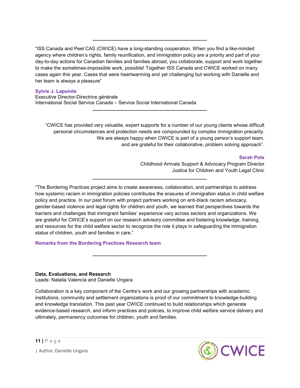"ISS Canada and Peel CAS (CWICE) have a long-standing cooperation. When you find a like-minded agency where children's rights, family reunification, and immigration policy are a priority and part of your day-to-day actions for Canadian families and families abroad, you collaborate, support and work together to make the sometimes-impossible work, possible! Together ISS Canada and CWICE worked on many cases again this year. Cases that were heartwarming and yet challenging but working with Danielle and her team is always a pleasure"

\_\_\_\_\_\_\_\_\_\_\_\_\_\_\_\_\_\_\_\_\_\_\_\_\_\_\_\_\_\_\_\_\_\_\_\_\_\_\_\_\_\_

#### Sylvie J. Lapointe

Executive Director-Directrice générale International Social Service Canada – Service Social International Canada

"CWICE has provided very valuable, expert supports for a number of our young clients whose difficult personal circumstances and protection needs are compounded by complex immigration precarity. We are always happy when CWICE is part of a young person's support team, and are grateful for their collaborative, problem solving approach".

\_\_\_\_\_\_\_\_\_\_\_\_\_\_\_\_\_\_\_\_\_\_\_\_\_\_\_\_\_\_\_\_\_\_\_\_\_\_\_\_\_\_

#### Sarah Pole

Childhood Arrivals Support & Advocacy Program Director Justice for Children and Youth Legal Clinic

"The Bordering Practices project aims to create awareness, collaboration, and partnerships to address how systemic racism in immigration policies contributes the erasures of immigration status in child welfare policy and practice. In our past forum with project partners working on anti-black racism advocacy, gender-based violence and legal rights for children and youth, we learned that perspectives towards the barriers and challenges that immigrant families' experience vary across sectors and organizations. We are grateful for CWICE's support on our research advisory committee and fostering knowledge, training, and resources for the child welfare sector to recognize the role it plays in safeguarding the immigration status of children, youth and families in care."

\_\_\_\_\_\_\_\_\_\_\_\_\_\_\_\_\_\_\_\_\_\_\_\_\_\_\_\_\_\_\_\_\_\_\_\_\_\_\_\_\_\_

\_\_\_\_\_\_\_\_\_\_\_\_\_\_\_\_\_\_\_\_\_\_\_\_\_\_\_\_\_\_\_\_\_\_\_\_\_\_\_\_\_\_

# Remarks from the Bordering Practices Research team

Data, Evaluations, and Research

Leads: Natalia Valencia and Danielle Ungara

Collaboration is a key component of the Centre's work and our growing partnerships with academic institutions, community and settlement organizations is proof of our commitment to knowledge-building and knowledge translation. This past year CWICE continued to build relationships which generate evidence-based research, and inform practices and policies, to improve child welfare service delivery and ultimately, permanency outcomes for children, youth and families.

 $11$  | P a g e

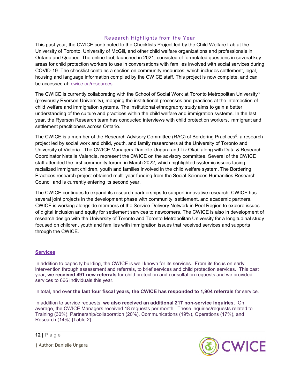# Research Highlights from the Year

This past year, the CWICE contributed to the Checklists Project led by the Child Welfare Lab at the University of Toronto, University of McGill, and other child welfare organizations and professionals in Ontario and Quebec. The online tool, launched in 2021, consisted of formulated questions in several key areas for child protection workers to use in conversations with families involved with social services during COVID-19. The checklist contains a section on community resources, which includes settlement, legal, housing and language information compiled by the CWICE staff. This project is now complete, and can be accessed at: **cwice.ca/resources** 

The CWICE is currently collaborating with the School of Social Work at Toronto Metropolitan University<sup>8</sup> (previously Ryerson University), mapping the institutional processes and practices at the intersection of child welfare and immigration systems. The institutional ethnography study aims to gain a better understanding of the culture and practices within the child welfare and immigration systems. In the last year, the Ryerson Research team has conducted interviews with child protection workers, immigrant and settlement practitioners across Ontario.

The CWICE is a member of the Research Advisory Committee (RAC) of Bordering Practices<sup>9</sup>, a research project led by social work and child, youth, and family researchers at the University of Toronto and University of Victoria. The CWICE Managers Danielle Ungara and Liz Okai, along with Data & Research Coordinator Natalia Valencia, represent the CWICE on the advisory committee. Several of the CWICE staff attended the first community forum, in March 2022, which highlighted systemic issues facing racialized immigrant children, youth and families involved in the child welfare system. The Bordering Practices research project obtained multi-year funding from the Social Sciences Humanities Research Council and is currently entering its second year.

The CWICE continues to expand its research partnerships to support innovative research. CWICE has several joint projects in the development phase with community, settlement, and academic partners. CWICE is working alongside members of the Service Delivery Network in Peel Region to explore issues of digital inclusion and equity for settlement services to newcomers. The CWICE is also in development of research design with the University of Toronto and Toronto Metropolitan University for a longitudinal study focused on children, youth and families with immigration issues that received services and supports through the CWICE.

# **Services**

In addition to capacity building, the CWICE is well known for its services. From its focus on early intervention through assessment and referrals, to brief services and child protection services. This past year, we received 491 new referrals for child protection and consultation requests and we provided services to 666 individuals this year.

In total, and over the last four fiscal years, the CWICE has responded to 1,904 referrals for service.

In addition to service requests, we also received an additional 217 non-service inquiries. On average, the CWICE Managers received 18 requests per month. These inquiries/requests related to Training (30%), Partnership/collaboration (20%), Communications (19%), Operations (17%), and Research (14%) [Table 2].

12 | P a g e

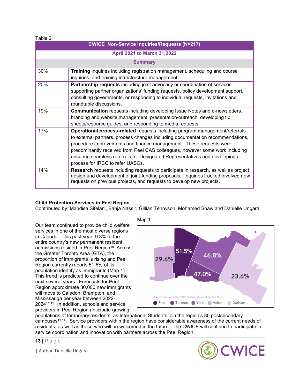#### Table 2

| <b>CWICE Non-Service Inquiries/Requests (N=217)</b> |                                                                                                                                                                                                                                                                                                                                                                                                                                        |  |
|-----------------------------------------------------|----------------------------------------------------------------------------------------------------------------------------------------------------------------------------------------------------------------------------------------------------------------------------------------------------------------------------------------------------------------------------------------------------------------------------------------|--|
| <b>April 2021 to March 31,2022</b>                  |                                                                                                                                                                                                                                                                                                                                                                                                                                        |  |
| <b>Summary</b>                                      |                                                                                                                                                                                                                                                                                                                                                                                                                                        |  |
| 30%                                                 | <b>Training</b> inquiries including registration management, scheduling and course<br>inquiries, and training infrastructure management.                                                                                                                                                                                                                                                                                               |  |
| 20%                                                 | Partnership requests including joint advocacy or coordination of services,<br>supporting partner organizations' funding requests, policy development support,<br>consulting governments, or responding to individual requests, invitations and<br>roundtable discussions.                                                                                                                                                              |  |
| 19%                                                 | <b>Communication</b> requests including developing Issue Notes and e-newsletters,<br>branding and website management, presentation/outreach, developing tip<br>sheets/resource guides, and responding to media requests.                                                                                                                                                                                                               |  |
| 17%                                                 | Operational process-related requests including program management/referrals<br>to external partners, process changes including documentation recommendations,<br>procedure improvements and finance management. These requests were<br>predominantly received from Peel CAS colleagues, however some work including<br>ensuring seamless referrals for Designated Representatives and developing a<br>process for IRCC to refer UASCs. |  |
| 14%                                                 | Research requests including requests to participate in research, as well as project<br>design and development of joint-funding proposals. Inquiries tracked involved new<br>requests on previous projects, and requests to develop new projects.                                                                                                                                                                                       |  |

# Child Protection Services in Peel Region

Contributed by: Mandisa Sifelani, Bahja Nassir, Gillian Tennyson, Mohamed Shaw and Danielle Ungara

Our team continued to provide child welfare services in one of the most diverse regions in Canada. This past year, 9.8% of the entire country's new permanent resident admissions resided in Peel Region<sup>10</sup>. Across the Greater Toronto Area (GTA), the proportion of immigrants is rising and Peel Region currently reports 51.5% of its population identify as immigrants (Map 1). This trend is predicted to continue over the next several years. Forecasts for Peel Region approximate 30,000 new immigrants will move to Caledon, Brampton, and Mississauga per year between 2022- 202411,12. In addition, schools and service providers in Peel Region anticipate growing



populations of temporary residents, as International Students join the region's 80 postsecondary campuses13,14. Service providers within the region have considerable awareness of the current needs of residents, as well as those who will be welcomed in the future. The CWICE will continue to participate in service coordination and innovation with partners across the Peel Region.

13 | P a g e

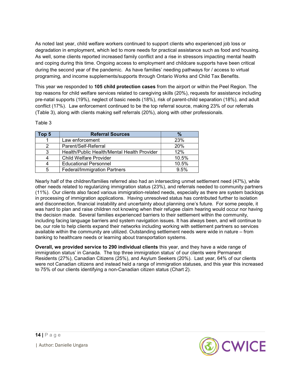As noted last year, child welfare workers continued to support clients who experienced job loss or degradation in employment, which led to more needs for practical assistance such as food and housing. As well, some clients reported increased family conflict and a rise in stressors impacting mental health and coping during this time. Ongoing access to employment and childcare supports have been critical during the second year of the pandemic. As have families' needing pathways for / access to virtual programing, and income supplements/supports through Ontario Works and Child Tax Benefits.

This year we responded to 105 child protection cases from the airport or within the Peel Region. The top reasons for child welfare services related to caregiving skills (20%), requests for assistance including pre-natal supports (19%), neglect of basic needs (18%), risk of parent-child separation (18%), and adult conflict (17%). Law enforcement continued to be the top referral source, making 23% of our referrals (Table 3), along with clients making self referrals (20%), along with other professionals.

# Table 3

| op <sub>5</sub> | <b>Referral Sources</b>                     | $\frac{0}{2}$ |
|-----------------|---------------------------------------------|---------------|
|                 | Law enforcement                             | 23%           |
|                 | Parent/Self-Referral                        | 20%           |
|                 | Health/Public Health/Mental Health Provider | 12%           |
|                 | <b>Child Welfare Provider</b>               | 10.5%         |
|                 | <b>Educational Personnel</b>                | 10.5%         |
| 5               | <b>Federal/Immigration Partners</b>         | 9.5%          |

Nearly half of the children/families referred also had an intersecting unmet settlement need (47%), while other needs related to regularizing immigration status (23%), and referrals needed to community partners (11%). Our clients also faced various immigration-related needs, especially as there are system backlogs in processing of immigration applications. Having unresolved status has contributed further to isolation and disconnection, financial instability and uncertainty about planning one's future. For some people, it was hard to plan and raise children not knowing when their refugee claim hearing would occur nor having the decision made. Several families experienced barriers to their settlement within the community, including facing language barriers and system navigation issues. It has always been, and will continue to be, our role to help clients expand their networks including working with settlement partners so services available within the community are utilized. Outstanding settlement needs were wide in nature – from banking to healthcare needs or learning about transportation systems.

Overall, we provided service to 290 individual clients this year, and they have a wide range of immigration status' in Canada. The top three immigration status' of our clients were Permanent Residents (27%), Canadian Citizens (25%), and Asylum Seekers (20%). Last year, 64% of our clients were not Canadian citizens and instead held a range of immigration statuses, and this year this increased to 75% of our clients identifying a non-Canadian citizen status (Chart 2).

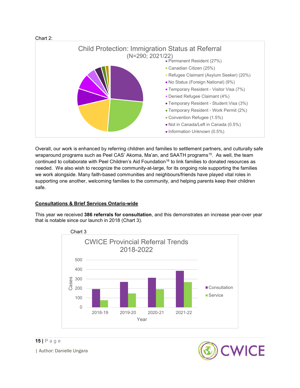

Overall, our work is enhanced by referring children and families to settlement partners, and culturally safe wraparound programs such as Peel CAS' Akoma, Ma'an, and SAATH programs<sup>15</sup>. As well, the team continued to collaborate with Peel Children's Aid Foundation<sup>16</sup> to link families to donated resources as needed. We also wish to recognize the community-at-large, for its ongoing role supporting the families we work alongside. Many faith-based communities and neighbours/friends have played vital roles in supporting one another, welcoming families to the community, and helping parents keep their children safe.

# Consultations & Brief Services Ontario-wide

This year we received 386 referrals for consultation, and this demonstrates an increase year-over year that is notable since our launch in 2018 (Chart 3).





 $15$  | P a g e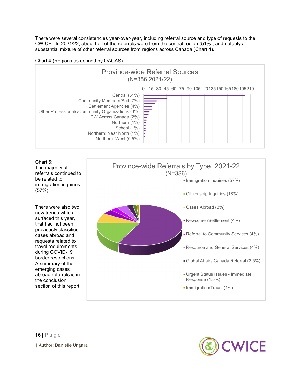There were several consistencies year-over-year, including referral source and type of requests to the CWICE. In 2021/22, about half of the referrals were from the central region (51%), and notably a substantial mixture of other referral sources from regions across Canada (Chart 4).





Chart 5: The majority of referrals continued to be related to immigration inquiries (57%).

There were also two new trends which surfaced this year, that had not been previously classified: cases abroad and requests related to travel requirements during COVID-19 border restrictions. A summary of the emerging cases abroad referrals is in the conclusion section of this report.



**CWICE**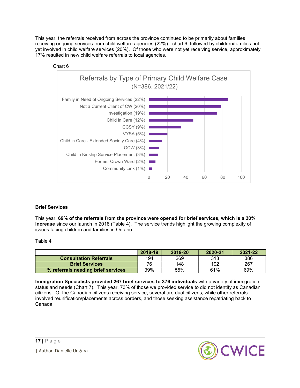This year, the referrals received from across the province continued to be primarily about families receiving ongoing services from child welfare agencies (22%) - chart 6, followed by children/families not yet involved in child welfare services (20%). Of those who were not yet receiving service, approximately 17% resulted in new child welfare referrals to local agencies.



# Brief Services

This year, 69% of the referrals from the province were opened for brief services, which is a 30% increase since our launch in 2018 (Table 4). The service trends highlight the growing complexity of issues facing children and families in Ontario.

Table 4

|                                    | 2018-19 | 2019-20 | 2020-21 | 2021-22 |
|------------------------------------|---------|---------|---------|---------|
| <b>Consultation Referrals</b>      | 194     | 269     | 313     | 386     |
| <b>Brief Services</b>              | 76      | 148     | 192     | 267     |
| % referrals needing brief services | 39%     | 55%     | 61%     | 69%     |

Immigration Specialists provided 267 brief services to 376 individuals with a variety of immigration status and needs (Chart 7). This year, 73% of those we provided service to did not identify as Canadian citizens. Of the Canadian citizens receiving service, several are dual citizens, while other referrals involved reunification/placements across borders, and those seeking assistance repatriating back to Canada.

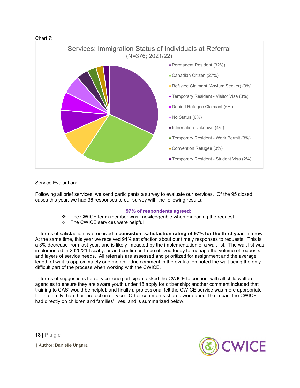



# Service Evaluation:

Following all brief services, we send participants a survey to evaluate our services. Of the 95 closed cases this year, we had 36 responses to our survey with the following results:

#### 97% of respondents agreed:

- $\cdot \cdot$  The CWICE team member was knowledgeable when managing the request
- ❖ The CWICE services were helpful

In terms of satisfaction, we received a consistent satisfaction rating of 97% for the third year in a row. At the same time, this year we received 94% satisfaction about our timely responses to requests. This is a 3% decrease from last year, and is likely impacted by the implementation of a wait list. The wait list was implemented in 2020/21 fiscal year and continues to be utilized today to manage the volume of requests and layers of service needs. All referrals are assessed and prioritized for assignment and the average length of wait is approximately one month. One comment in the evaluation noted the wait being the only difficult part of the process when working with the CWICE.

In terms of suggestions for service: one participant asked the CWICE to connect with all child welfare agencies to ensure they are aware youth under 18 apply for citizenship; another comment included that training to CAS' would be helpful; and finally a professional felt the CWICE service was more appropriate for the family than their protection service. Other comments shared were about the impact the CWICE had directly on children and families' lives, and is summarized below.

**CWICE**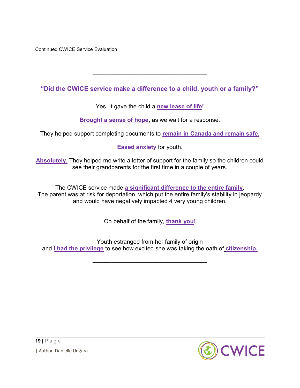Continued CWICE Service Evaluation

"Did the CWICE service make a difference to a child, youth or a family?"

\_\_\_\_\_\_\_\_\_\_\_\_\_\_\_\_\_\_\_\_\_\_\_\_\_\_\_\_\_\_\_\_\_\_\_\_\_\_\_\_\_\_

Yes. It gave the child a new lease of life!

Brought a sense of hope, as we wait for a response.

They helped support completing documents to remain in Canada and remain safe.

Eased anxiety for youth.

**Absolutely.** They helped me write a letter of support for the family so the children could see their grandparents for the first time in a couple of years.

The CWICE service made a significant difference to the entire family. The parent was at risk for deportation, which put the entire family's stability in jeopardy and would have negatively impacted 4 very young children.

On behalf of the family, thank you!

Youth estranged from her family of origin and I had the privilege to see how excited she was taking the oath of citizenship.

\_\_\_\_\_\_\_\_\_\_\_\_\_\_\_\_\_\_\_\_\_\_\_\_\_\_\_\_\_\_\_\_\_\_\_\_\_\_\_\_\_\_



19 | P a g e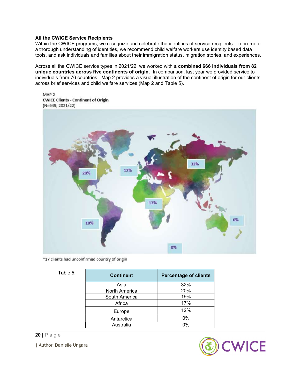#### All the CWICE Service Recipients

Within the CWICE programs, we recognize and celebrate the identities of service recipients. To promote a thorough understanding of identities, we recommend child welfare workers use identity based data tools, and ask individuals and families about their immigration status, migration stories, and experiences.

Across all the CWICE service types in 2021/22, we worked with a combined 666 individuals from 82 unique countries across five continents of origin. In comparison, last year we provided service to individuals from 76 countries. Map 2 provides a visual illustration of the continent of origin for our clients across brief services and child welfare services (Map 2 and Table 5).

MAP<sub>2</sub> **CWICE Clients - Continent of Origin** (N=649; 2021/22)



\*17 clients had unconfirmed country of origin

| ır | ١I |  |
|----|----|--|
|----|----|--|

| Table 5: | <b>Continent</b>     | <b>Percentage of clients</b> |
|----------|----------------------|------------------------------|
|          | Asia                 | 32%                          |
|          | <b>North America</b> | 20%                          |
|          | South America        | 19%                          |
|          | Africa               | 17%                          |
|          | Europe               | 12%                          |
|          | Antarctica           | 0%                           |
|          | Australia            | 0%                           |



20 | P a g e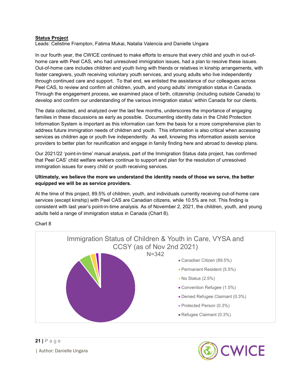# Status Project

Leads: Celistine Frampton, Fatima Mukai, Natalia Valencia and Danielle Ungara

In our fourth year, the CWICE continued to make efforts to ensure that every child and youth in out-ofhome care with Peel CAS, who had unresolved immigration issues, had a plan to resolve these issues. Out-of-home care includes children and youth living with friends or relatives in kinship arrangements, with foster caregivers, youth receiving voluntary youth services, and young adults who live independently through continued care and support. To that end, we enlisted the assistance of our colleagues across Peel CAS, to review and confirm all children, youth, and young adults' immigration status in Canada. Through the engagement process, we examined place of birth, citizenship (including outside Canada) to develop and confirm our understanding of the various immigration status' within Canada for our clients.

The data collected, and analyzed over the last few months, underscores the importance of engaging families in these discussions as early as possible. Documenting identity data in the Child Protection Information System is important as this information can form the basis for a more comprehensive plan to address future immigration needs of children and youth. This information is also critical when accessing services as children age or youth live independently. As well, knowing this information assists service providers to better plan for reunification and engage in family finding here and abroad to develop plans.

Our 2021/22 'point-in-time' manual analysis, part of the Immigration Status data project, has confirmed that Peel CAS' child welfare workers continue to support and plan for the resolution of unresolved immigration issues for every child or youth receiving services.

# Ultimately, we believe the more we understand the identity needs of those we serve, the better equipped we will be as service providers.

At the time of this project, 89.5% of children, youth, and individuals currently receiving out-of-home care services (except kinship) with Peel CAS are Canadian citizens, while 10.5% are not. This finding is consistent with last year's point-in-time analysis. As of November 2, 2021, the children, youth, and young adults held a range of immigration status in Canada (Chart 8).

Chart 8



 $21$  | P a g e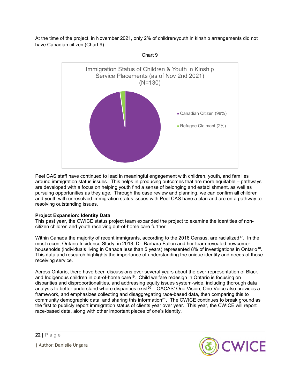At the time of the project, in November 2021, only 2% of children/youth in kinship arrangements did not have Canadian citizen (Chart 9).



Peel CAS staff have continued to lead in meaningful engagement with children, youth, and families around immigration status issues. This helps in producing outcomes that are more equitable – pathways are developed with a focus on helping youth find a sense of belonging and establishment, as well as pursuing opportunities as they age. Through the case review and planning, we can confirm all children and youth with unresolved immigration status issues with Peel CAS have a plan and are on a pathway to resolving outstanding issues.

# Project Expansion: Identity Data

This past year, the CWICE status project team expanded the project to examine the identities of noncitizen children and youth receiving out-of-home care further.

Within Canada the majority of recent immigrants, according to the 2016 Census, are racialized<sup>17</sup>. In the most recent Ontario Incidence Study, in 2018, Dr. Barbara Fallon and her team revealed newcomer households (individuals living in Canada less than 5 years) represented 8% of investigations in Ontario<sup>18</sup>. This data and research highlights the importance of understanding the unique identity and needs of those receiving service.

Across Ontario, there have been discussions over several years about the over-representation of Black and Indigenous children in out-of-home care<sup>19</sup>. Child welfare redesign in Ontario is focusing on disparities and disproportionalities, and addressing equity issues system-wide, including thorough data analysis to better understand where disparities exist<sup>20</sup>. OACAS' One Vision, One Voice also provides a framework, and emphasizes collecting and disaggregating race-based data, then comparing this to community demographic data, and sharing this information<sup>21</sup>. The CWICE continues to break ground as the first to publicly report immigration status of clients year over year. This year, the CWICE will report race-based data, along with other important pieces of one's identity.

22 | P a g e

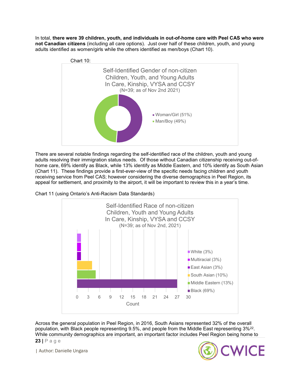In total, there were 39 children, youth, and individuals in out-of-home care with Peel CAS who were not Canadian citizens (including all care options). Just over half of these children, youth, and young adults identified as women/girls while the others identified as men/boys (Chart 10).



There are several notable findings regarding the self-identified race of the children, youth and young adults resolving their immigration status needs. Of those without Canadian citizenship receiving out-ofhome care, 69% identify as Black, while 13% identify as Middle Eastern, and 10% identify as South Asian (Chart 11). These findings provide a first-ever-view of the specific needs facing children and youth receiving service from Peel CAS; however considering the diverse demographics in Peel Region, its appeal for settlement, and proximity to the airport, it will be important to review this in a year's time.





23 | P a g e Across the general population in Peel Region, in 2016, South Asians represented 32% of the overall population, with Black people representing 9.5%, and people from the Middle East representing 3% $^{22}\!.$ While community demographics are important, an important factor includes Peel Region being home to

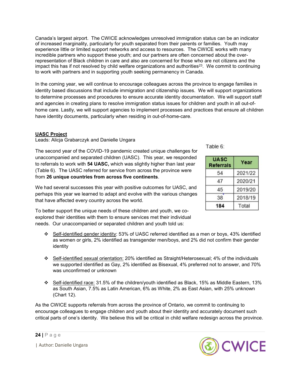Canada's largest airport. The CWICE acknowledges unresolved immigration status can be an indicator of increased marginality, particularly for youth separated from their parents or families. Youth may experience little or limited support networks and access to resources. The CWICE works with many incredible partners who support these youth; and our partners are often concerned about the overrepresentation of Black children in care and also are concerned for those who are not citizens and the impact this has if not resolved by child welfare organizations and authorities<sup>23</sup>. We commit to continuing to work with partners and in supporting youth seeking permanency in Canada.

In the coming year, we will continue to encourage colleagues across the province to engage families in identity based discussions that include immigration and citizenship issues. We will support organizations to determine processes and procedures to ensure accurate identity documentation. We will support staff and agencies in creating plans to resolve immigration status issues for children and youth in all out-ofhome care. Lastly, we will support agencies to implement processes and practices that ensure all children have identity documents, particularly when residing in out-of-home-care.

# UASC Project

Leads: Alicja Grabarczyk and Danielle Ungara

The second year of the COVID-19 pandemic created unique challenges for unaccompanied and separated children (UASC). This year, we responded to referrals to work with 54 UASC, which was slightly higher than last year (Table 6). The UASC referred for service from across the province were from 26 unique countries from across five continents.

Table 6:

| <b>UASC</b><br><b>Referrals</b> | Year    |
|---------------------------------|---------|
| 54                              | 2021/22 |
| 47                              | 2020/21 |
| 45                              | 2019/20 |
| 38                              | 2018/19 |
| 184                             | Total   |

We had several successes this year with positive outcomes for UASC, and perhaps this year we learned to adapt and evolve with the various changes that have affected every country across the world.

To better support the unique needs of these children and youth, we coexplored their identities with them to ensure services met their individual needs. Our unaccompanied or separated children and youth told us:

- Self-identified gender identity: 53% of UASC referred identified as a men or boys, 43% identified as women or girls, 2% identified as transgender men/boys, and 2% did not confirm their gender identity
- Self-identified sexual orientation: 20% identified as Straight/Heterosexual; 4% of the individuals we supported identified as Gay, 2% identified as Bisexual, 4% preferred not to answer, and 70% was unconfirmed or unknown
- Self-identified race: 31.5% of the children/youth identified as Black, 15% as Middle Eastern, 13% as South Asian, 7.5% as Latin American, 6% as White, 2% as East Asian, with 25% unknown (Chart 12).

As the CWICE supports referrals from across the province of Ontario, we commit to continuing to encourage colleagues to engage children and youth about their identity and accurately document such critical parts of one's identity. We believe this will be critical in child welfare redesign across the province.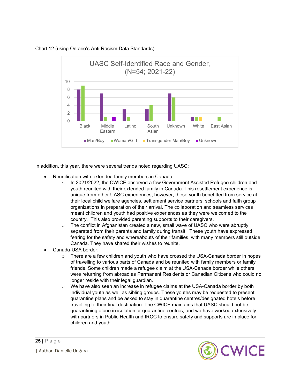

# Chart 12 (using Ontario's Anti-Racism Data Standards)

In addition, this year, there were several trends noted regarding UASC:

- Reunification with extended family members in Canada.
	- $\circ$  In 2021/2022, the CWICE observed a few Government Assisted Refugee children and youth reunited with their extended family in Canada. This resettlement experience is unique from other UASC experiences, however, these youth benefitted from service at their local child welfare agencies, settlement service partners, schools and faith group organizations in preparation of their arrival. The collaboration and seamless services meant children and youth had positive experiences as they were welcomed to the country. This also provided parenting supports to their caregivers.
	- $\circ$  The conflict in Afghanistan created a new, small wave of UASC who were abruptly separated from their parents and family during transit. These youth have expressed fearing for the safety and whereabouts of their families, with many members still outside Canada. They have shared their wishes to reunite.
- Canada-USA border:
	- $\circ$  There are a few children and youth who have crossed the USA-Canada border in hopes of travelling to various parts of Canada and be reunited with family members or family friends. Some children made a refugee claim at the USA-Canada border while others were returning from abroad as Permanent Residents or Canadian Citizens who could no longer reside with their legal guardian.
	- $\circ$  We have also seen an increase in refugee claims at the USA-Canada border by both individual youth as well as sibling groups. These youths may be requested to present quarantine plans and be asked to stay in quarantine centres/designated hotels before travelling to their final destination. The CWICE maintains that UASC should not be quarantining alone in isolation or quarantine centres, and we have worked extensively with partners in Public Health and IRCC to ensure safety and supports are in place for children and youth.

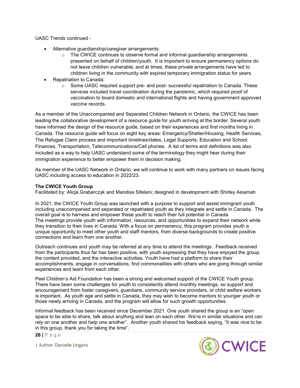UASC Trends continued -

- Alternative guardianship/caregiver arrangements:
	- $\circ$  The CWICE continues to observe formal and informal guardianship arrangements presented on behalf of children/youth. It is important to ensure permanency options do not leave children vulnerable; and at times, these private arrangements have led to children living in the community with expired temporary immigration status for years.
- Repatriation to Canada:
	- o Some UASC required support pre- and post- successful repatriation to Canada. These services included travel coordination during the pandemic, which required proof of vaccination to board domestic and international flights and having government approved vaccine records.

As a member of the Unaccompanied and Separated Children Network in Ontario, the CWICE has been leading the collaborative development of a resource guide for youth arriving at the border. Several youth have informed the design of the resource guide, based on their experiences and first months living in Canada. The resource guide will focus on eight key areas: Emergency/Shelter/Housing, Health Services, The Refugee Claim process and important timelines/dates, Legal Supports, Education and School, Finances, Transportation, Telecommunications/Cell phones. A list of terms and definitions was also included as a way to help UASC understand some of the terminology they might hear during their immigration experience to better empower them in decision making.

As member of the UASC Network in Ontario, we will continue to work with many partners on issues facing UASC including access to education in 2022/23.

# The CWICE Youth Group

Facilitated by: Alicja Grabarczyk and Mandisa Sifelani; designed in development with Shirley Asiamah

In 2021, the CWICE Youth Group was launched with a purpose to support and assist immigrant youth including unaccompanied and separated or repatriated youth as they integrate and settle in Canada. The overall goal is to harness and empower these youth to reach their full potential in Canada. The meetings provide youth with information, resources, and opportunities to expand their network while they transition to their lives in Canada. With a focus on permanency, this program provides youth a unique opportunity to meet other youth and staff mentors, from diverse backgrounds to create positive connections and learn from one another.

Outreach continues and youth may be referred at any time to attend the meetings. Feedback received from the participants thus far has been positive, with youth expressing that they have enjoyed the group, the content provided, and the interactive activities. Youth have had a platform to share their accomplishments, engage in conversations, find commonalities with others who are going through similar experiences and learn from each other.

Peel Children's Aid Foundation has been a strong and welcomed support of the CWICE Youth group. There have been some challenges for youth to consistently attend monthly meetings, so support and encouragement from foster caregivers, guardians, community service providers, or child welfare workers is important. As youth age and settle in Canada, they may wish to become mentors to younger youth or those newly arriving in Canada, and the program will allow for such growth opportunities.

Informal feedback has been received since December 2021. One youth shared the group is an "open space to be able to share, talk about anything and lean on each other. We're in similar situations and can rely on one another and help one another". Another youth shared his feedback saying, "It was nice to be in this group, thank you for taking the time".

26 | P a g e

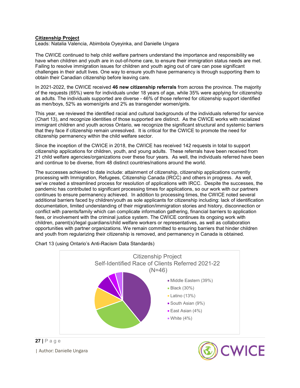#### Citizenship Project

Leads: Natalia Valencia, Abimbola Oyeyinka, and Danielle Ungara

The CWICE continued to help child welfare partners understand the importance and responsibility we have when children and youth are in out-of-home care, to ensure their immigration status needs are met. Failing to resolve immigration issues for children and youth aging out of care can pose significant challenges in their adult lives. One way to ensure youth have permanency is through supporting them to obtain their Canadian citizenship before leaving care.

In 2021-2022, the CWICE received 46 new citizenship referrals from across the province. The majority of the requests (65%) were for individuals under 18 years of age, while 35% were applying for citizenship as adults. The individuals supported are diverse - 46% of those referred for citizenship support identified as men/boys, 52% as women/girls and 2% as transgender women/girls.

This year, we reviewed the identified racial and cultural backgrounds of the individuals referred for service (Chart 13), and recognize identities of those supported are distinct. As the CWICE works with racialized immigrant children and youth across Ontario, we recognize the significant structural and systemic barriers that they face if citizenship remain unresolved. It is critical for the CWICE to promote the need for citizenship permanency within the child welfare sector.

Since the inception of the CWICE in 2018, the CWICE has received 142 requests in total to support citizenship applications for children, youth, and young adults. These referrals have been received from 21 child welfare agencies/organizations over these four years. As well, the individuals referred have been and continue to be diverse, from 48 distinct countries/nations around the world.

The successes achieved to date include: attainment of citizenship, citizenship applications currently processing with Immigration, Refugees, Citizenship Canada (IRCC) and others in progress. As well, we've created a streamlined process for resolution of applications with IRCC. Despite the successes, the pandemic has contributed to significant processing times for applications, so our work with our partners continues to ensure permanency achieved. In addition to processing times, the CWICE noted several additional barriers faced by children/youth as sole applicants for citizenship including: lack of identification documentation, limited understanding of their migration/immigration stories and history, disconnection or conflict with parents/family which can complicate information gathering, financial barriers to application fees, or involvement with the criminal justice system. The CWICE continues its ongoing work with children, parent(s)/legal guardians/child welfare workers or representatives, as well as collaboration opportunities with partner organizations. We remain committed to ensuring barriers that hinder children and youth from regularizing their citizenship is removed, and permanency in Canada is obtained.



Chart 13 (using Ontario's Anti-Racism Data Standards)



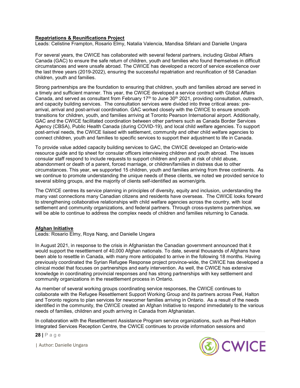# Repatriations & Reunifications Project

Leads: Celistine Frampton, Rosario Elmy, Natalia Valencia, Mandisa Sifelani and Danielle Ungara

For several years, the CWICE has collaborated with several federal partners, including Global Affairs Canada (GAC) to ensure the safe return of children, youth and families who found themselves in difficult circumstances and were unsafe abroad. The CWICE has developed a record of service excellence over the last three years (2019-2022), ensuring the successful repatriation and reunification of 58 Canadian children, youth and families.

Strong partnerships are the foundation to ensuring that children, youth and families abroad are served in a timely and sufficient manner. This year, the CWICE developed a service contract with Global Affairs Canada, and served as consultant from February 17<sup>th</sup> to June 30<sup>th</sup> 2021, providing consultation, outreach, and capacity building services. The consultation services were divided into three critical areas: prearrival, arrival and post-arrival coordination. GAC worked closely with the CWICE to ensure smooth transitions for children, youth, and families arriving at Toronto Pearson International airport. Additionally, GAC and the CWICE facilitated coordination between other partners such as Canada Border Services Agency (CBSA), Public Health Canada (during COVID-19), and local child welfare agencies. To support post-arrival needs, the CWICE liaised with settlement, community and other child welfare agencies to connect children, youth and families to specific services to support their adjustment to life in Canada.

To provide value added capacity building services to GAC, the CWICE developed an Ontario-wide resource guide and tip sheet for consular officers interviewing children and youth abroad. The issues consular staff respond to include requests to support children and youth at risk of child abuse, abandonment or death of a parent, forced marriage, or children/families in distress due to other circumstances. This year, we supported 15 children, youth and families arriving from three continents. As we continue to promote understanding the unique needs of these clients, we noted we provided service to several sibling groups, and the majority of clients self-identified as women/girls.

The CWICE centres its service planning in principles of diversity, equity and inclusion, understanding the many vast connections many Canadian citizens and residents have overseas. The CWICE looks forward to strengthening collaborative relationships with child welfare agencies across the country, with local settlement and community organizations, and federal partners. Through cross-systems partnerships, we will be able to continue to address the complex needs of children and families returning to Canada.

# Afghan Initiative

Leads: Rosario Elmy, Roya Nang, and Danielle Ungara

In August 2021, in response to the crisis in Afghanistan the Canadian government announced that it would support the resettlement of 40,000 Afghan nationals. To date, several thousands of Afghans have been able to resettle in Canada, with many more anticipated to arrive in the following 18 months. Having previously coordinated the Syrian Refugee Response project province-wide, the CWICE has developed a clinical model that focuses on partnerships and early intervention. As well, the CWICE has extensive knowledge in coordinating provincial responses and has strong partnerships with key settlement and community organizations in the resettlement process in Ontario.

As member of several working groups coordinating service responses, the CWICE continues to collaborate with the Refugee Resettlement Support Working Group and its partners across Peel, Halton and Toronto regions to plan services for newcomer families arriving in Ontario. As a result of the needs identified in the community, the CWICE created an Afghan Initiative to respond immediately to the various needs of families, children and youth arriving in Canada from Afghanistan.

In collaboration with the Resettlement Assistance Program service organizations, such as Peel-Halton Integrated Services Reception Centre, the CWICE continues to provide information sessions and



28 | P a g e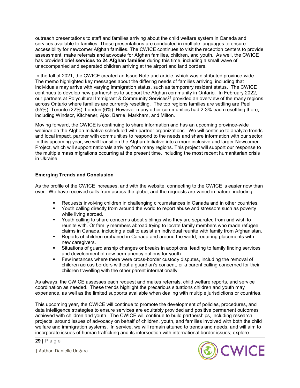outreach presentations to staff and families arriving about the child welfare system in Canada and services available to families. These presentations are conducted in multiple languages to ensure accessibility for newcomer Afghan families. The CWICE continues to visit the reception centers to provide assessment, make referrals and advocate for Afghan families, children, and youth. As well, the CWICE has provided brief services to 24 Afghan families during this time, including a small wave of unaccompanied and separated children arriving at the airport and land borders.

In the fall of 2021, the CWICE created an Issue Note and article, which was distributed province-wide. The memo highlighted key messages about the differing needs of families arriving, including that individuals may arrive with varying immigration status, such as temporary resident status. The CWICE continues to develop new partnerships to support the Afghan community in Ontario. In February 2022, our partners at Polycultural Immigrant & Community Services<sup>24</sup> provided an overview of the many regions across Ontario where families are currently resettling. The top regions families are settling are Peel (55%), Toronto (22%), London (6%). However many other communities had 2-3% each resettling there, including Windsor, Kitchener, Ajax, Barrie, Markham, and Milton.

Moving forward, the CWICE is continuing to share information and has an upcoming province-wide webinar on the Afghan Initiative scheduled with partner organizations. We will continue to analyze trends and local impact, partner with communities to respond to the needs and share information with our sector. In this upcoming year, we will transition the Afghan Initiative into a more inclusive and larger Newcomer Project, which will support nationals arriving from many regions. This project will support our response to the multiple mass migrations occurring at the present time, including the most recent humanitarian crisis in Ukraine.

# Emerging Trends and Conclusion

As the profile of the CWICE increases, and with the website, connecting to the CWICE is easier now than ever. We have received calls from across the globe, and the requests are varied in nature, including:

- Requests involving children in challenging circumstances in Canada and in other countries.
- Youth calling directly from around the world to report abuse and stressors such as poverty while living abroad.
- Youth calling to share concerns about siblings who they are separated from and wish to reunite with. Or family members abroad trying to locate family members who made refugee claims in Canada, including a call to assist an individual reunite with family from Afghanistan.
- Reports of children orphaned in Canada and around the world, requiring placements with new caregivers.
- Situations of guardianship changes or breaks in adoptions, leading to family finding services and development of new permanency options for youth.
- Few instances where there were cross-border custody disputes, including the removal of children across borders without a guardian's consent, or a parent calling concerned for their children travelling with the other parent internationally.

As always, the CWICE assesses each request and makes referrals, child welfare reports, and service coordination as needed. These trends highlight the precarious situations children and youth may experience, as well as the limited supports available when dealing with multiple jurisdictions or countries.

This upcoming year, the CWICE will continue to promote the development of policies, procedures, and data intelligence strategies to ensure services are equitably provided and positive permanent outcomes achieved with children and youth. The CWICE will continue to build partnerships, including research projects, around issues of advocacy on behalf of children, youth, and families involved with both the child welfare and immigration systems. In service, we will remain attuned to trends and needs, and will aim to incorporate issues of human trafficking and its intersection with international border issues; explore

29 | P a g e

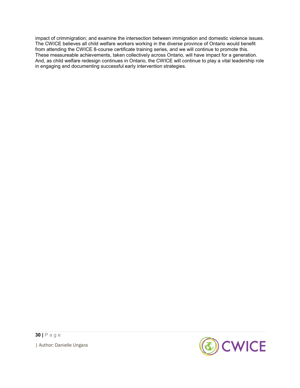impact of crimmigration; and examine the intersection between immigration and domestic violence issues. The CWICE believes all child welfare workers working in the diverse province of Ontario would benefit from attending the CWICE 8-course certificate training series, and we will continue to promote this. These measureable achievements, taken collectively across Ontario, will have impact for a generation. And, as child welfare redesign continues in Ontario, the CWICE will continue to play a vital leadership role in engaging and documenting successful early intervention strategies.

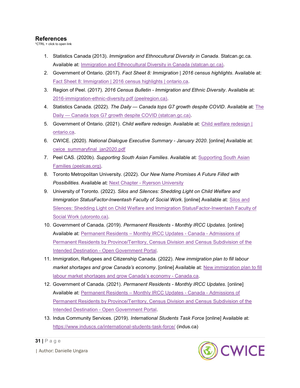# References

\*CTRL + click to open link

- 1. Statistics Canada (2013). Immigration and Ethnocultural Diversity in Canada. Statcan.gc.ca. Available at: Immigration and Ethnocultural Diversity in Canada (statcan.gc.ca).
- 2. Government of Ontario. (2017). Fact Sheet 8: Immigration | 2016 census highlights. Available at: Fact Sheet 8: Immigration | 2016 census highlights | ontario.ca.
- 3. Region of Peel. (2017). 2016 Census Bulletin Immigration and Ethnic Diversity. Available at: 2016-immigration-ethnic-diversity.pdf (peelregion.ca).
- 4. Statistics Canada. (2022). The Daily Canada tops G7 growth despite COVID. Available at: The Daily — Canada tops G7 growth despite COVID (statcan.gc.ca).
- 5. Government of Ontario. (2021). Child welfare redesign. Available at: Child welfare redesign | ontario.ca.
- 6. CWICE. (2020). National Dialogue Executive Summary January 2020. [online] Available at: cwice\_summaryfinal\_jan2020.pdf
- 7. Peel CAS. (2020b). Supporting South Asian Families. Available at: Supporting South Asian Families (peelcas.org).
- 8. Toronto Metropolitan University. (2022). Our New Name Promises A Future Filled with Possibilities. Available at: Next Chapter - Ryerson University
- 9. University of Toronto. (2022). Silos and Silences: Shedding Light on Child Welfare and Immigration StatusFactor-Inwentash Faculty of Social Work. [online] Available at: Silos and Silences: Shedding Light on Child Welfare and Immigration StatusFactor-Inwentash Faculty of Social Work (utoronto.ca).
- 10. Government of Canada. (2019). Permanent Residents Monthly IRCC Updates. [online] Available at: Permanent Residents – Monthly IRCC Updates - Canada - Admissions of Permanent Residents by Province/Territory, Census Division and Census Subdivision of the Intended Destination - Open Government Portal.
- 11. Immigration, Refugees and Citizenship Canada. (2022). New immigration plan to fill labour market shortages and grow Canada's economy. [online] Available at: New immigration plan to fill labour market shortages and grow Canada's economy - Canada.ca.
- 12. Government of Canada. (2021). Permanent Residents Monthly IRCC Updates. [online] Available at: Permanent Residents – Monthly IRCC Updates - Canada - Admissions of Permanent Residents by Province/Territory, Census Division and Census Subdivision of the Intended Destination - Open Government Portal.
- 13. Indus Community Services. (2019). International Students Task Force [online] Available at: https://www.induscs.ca/international-students-task-force/ (indus.ca)



 $31$  | P a g e